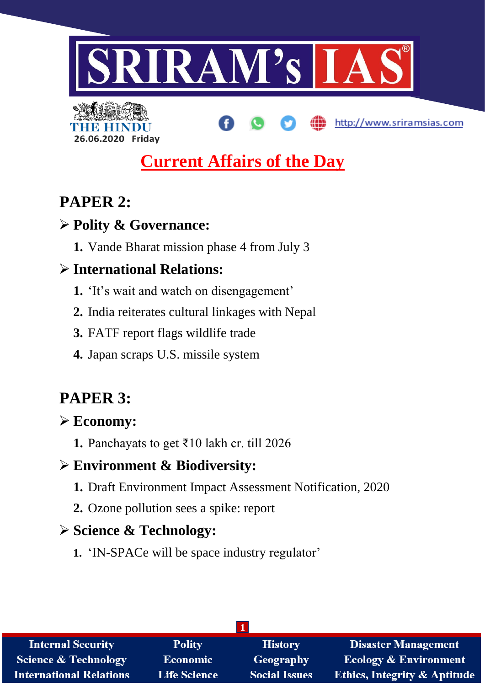

http://www.sriramsias.com



# **Current Affairs of the Day**

# **PAPER 2:**

# **Polity & Governance:**

**1.** Vande Bharat mission phase 4 from July 3

# **International Relations:**

- **1.** 'It's wait and watch on disengagement'
- **2.** India reiterates cultural linkages with Nepal
- **3.** FATF report flags wildlife trade
- **4.** Japan scraps U.S. missile system

# **PAPER 3:**

# **Economy:**

**1.** Panchayats to get ₹10 lakh cr. till 2026

# **Environment & Biodiversity:**

- **1.** Draft Environment Impact Assessment Notification, 2020
- **2.** Ozone pollution sees a spike: report

# **Science & Technology:**

**1.** 'IN-SPACe will be space industry regulator'

| <b>Internal Security</b>        | <b>Polity</b>       | <b>History</b>       | <b>Disaster Management</b>              |  |
|---------------------------------|---------------------|----------------------|-----------------------------------------|--|
| <b>Science &amp; Technology</b> | <b>Economic</b>     | Geography            | <b>Ecology &amp; Environment</b>        |  |
| <b>International Relations</b>  | <b>Life Science</b> | <b>Social Issues</b> | <b>Ethics, Integrity &amp; Aptitude</b> |  |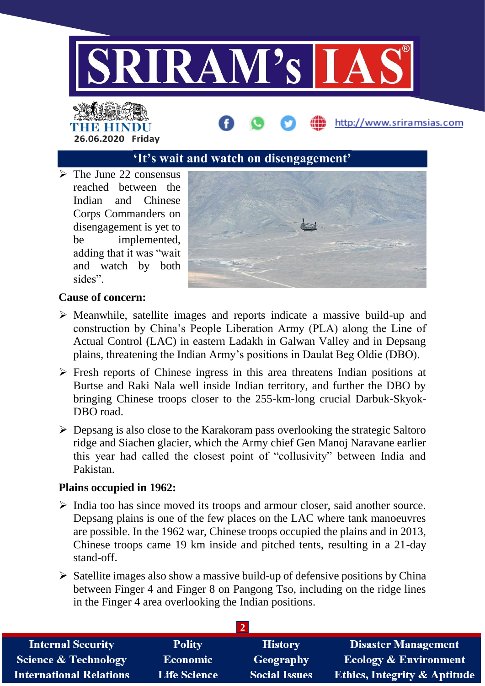

# THE HINDL **26.06.2020 Friday**

### **'It's wait and watch on disengagement'**

 $\triangleright$  The June 22 consensus reached between the Indian and Chinese Corps Commanders on disengagement is yet to be implemented, adding that it was "wait and watch by both sides".



http://www.sriramsias.com

#### **Cause of concern:**

- $\triangleright$  Meanwhile, satellite images and reports indicate a massive build-up and construction by China's People Liberation Army (PLA) along the Line of Actual Control (LAC) in eastern Ladakh in Galwan Valley and in Depsang plains, threatening the Indian Army's positions in Daulat Beg Oldie (DBO).
- $\triangleright$  Fresh reports of Chinese ingress in this area threatens Indian positions at Burtse and Raki Nala well inside Indian territory, and further the DBO by bringing Chinese troops closer to the 255-km-long crucial Darbuk-Skyok-DBO road.
- $\triangleright$  Depsang is also close to the Karakoram pass overlooking the strategic Saltoro ridge and Siachen glacier, which the Army chief Gen Manoj Naravane earlier this year had called the closest point of "collusivity" between India and Pakistan.

#### **Plains occupied in 1962:**

- $\triangleright$  India too has since moved its troops and armour closer, said another source. Depsang plains is one of the few places on the LAC where tank manoeuvres are possible. In the 1962 war, Chinese troops occupied the plains and in 2013, Chinese troops came 19 km inside and pitched tents, resulting in a 21-day stand-off.
- $\triangleright$  Satellite images also show a massive build-up of defensive positions by China between Finger 4 and Finger 8 on Pangong Tso, including on the ridge lines in the Finger 4 area overlooking the Indian positions.

| <b>Internal Security</b>        | <b>Polity</b>       | <b>History</b>       | <b>Disaster Management</b>              |  |
|---------------------------------|---------------------|----------------------|-----------------------------------------|--|
| <b>Science &amp; Technology</b> | Economic            | Geography            | <b>Ecology &amp; Environment</b>        |  |
| <b>International Relations</b>  | <b>Life Science</b> | <b>Social Issues</b> | <b>Ethics, Integrity &amp; Aptitude</b> |  |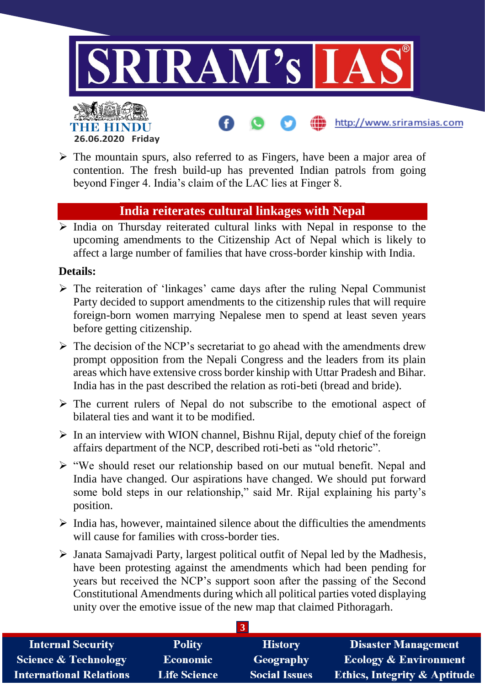

 $\triangleright$  The mountain spurs, also referred to as Fingers, have been a major area of contention. The fresh build-up has prevented Indian patrols from going beyond Finger 4. India's claim of the LAC lies at Finger 8.

#### **India reiterates cultural linkages with Nepal**

 $\triangleright$  India on Thursday reiterated cultural links with Nepal in response to the upcoming amendments to the Citizenship Act of Nepal which is likely to affect a large number of families that have cross-border kinship with India.

#### **Details:**

**26.06.2020 Friday**

- $\triangleright$  The reiteration of 'linkages' came days after the ruling Nepal Communist Party decided to support amendments to the citizenship rules that will require foreign-born women marrying Nepalese men to spend at least seven years before getting citizenship.
- $\triangleright$  The decision of the NCP's secretariat to go ahead with the amendments drew prompt opposition from the Nepali Congress and the leaders from its plain areas which have extensive cross border kinship with Uttar Pradesh and Bihar. India has in the past described the relation as roti-beti (bread and bride).
- $\triangleright$  The current rulers of Nepal do not subscribe to the emotional aspect of bilateral ties and want it to be modified.
- $\triangleright$  In an interview with WION channel, Bishnu Rijal, deputy chief of the foreign affairs department of the NCP, described roti-beti as "old rhetoric".
- $\triangleright$  "We should reset our relationship based on our mutual benefit. Nepal and India have changed. Our aspirations have changed. We should put forward some bold steps in our relationship," said Mr. Rijal explaining his party's position.
- $\triangleright$  India has, however, maintained silence about the difficulties the amendments will cause for families with cross-border ties.
- $\triangleright$  Janata Samajvadi Party, largest political outfit of Nepal led by the Madhesis, have been protesting against the amendments which had been pending for years but received the NCP's support soon after the passing of the Second Constitutional Amendments during which all political parties voted displaying unity over the emotive issue of the new map that claimed Pithoragarh.

| <b>Internal Security</b>        | <b>Polity</b>       | <b>History</b>       | <b>Disaster Management</b>              |
|---------------------------------|---------------------|----------------------|-----------------------------------------|
| <b>Science &amp; Technology</b> | <b>Economic</b>     | Geography            | <b>Ecology &amp; Environment</b>        |
| <b>International Relations</b>  | <b>Life Science</b> | <b>Social Issues</b> | <b>Ethics, Integrity &amp; Aptitude</b> |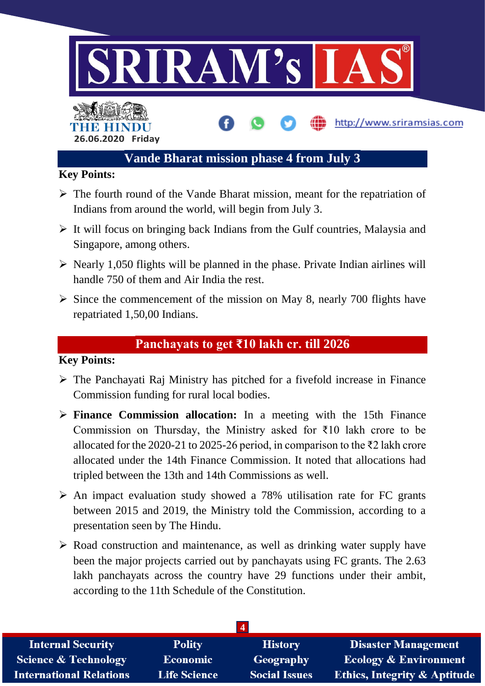

#### **Key Points:**

- $\triangleright$  The fourth round of the Vande Bharat mission, meant for the repatriation of Indians from around the world, will begin from July 3.
- $\triangleright$  It will focus on bringing back Indians from the Gulf countries, Malaysia and Singapore, among others.
- $\triangleright$  Nearly 1,050 flights will be planned in the phase. Private Indian airlines will handle 750 of them and Air India the rest.
- $\triangleright$  Since the commencement of the mission on May 8, nearly 700 flights have repatriated 1,50,00 Indians.

## **Panchayats to get ₹10 lakh cr. till 2026**

#### **Key Points:**

- $\triangleright$  The Panchayati Raj Ministry has pitched for a fivefold increase in Finance Commission funding for rural local bodies.
- **Finance Commission allocation:** In a meeting with the 15th Finance Commission on Thursday, the Ministry asked for ₹10 lakh crore to be allocated for the 2020-21 to 2025-26 period, in comparison to the  $\bar{\tau}$ 2 lakh crore allocated under the 14th Finance Commission. It noted that allocations had tripled between the 13th and 14th Commissions as well.
- $\triangleright$  An impact evaluation study showed a 78% utilisation rate for FC grants between 2015 and 2019, the Ministry told the Commission, according to a presentation seen by The Hindu.
- $\triangleright$  Road construction and maintenance, as well as drinking water supply have been the major projects carried out by panchayats using FC grants. The 2.63 lakh panchayats across the country have 29 functions under their ambit, according to the 11th Schedule of the Constitution.

| <b>Internal Security</b>        | <b>Polity</b>       | <b>History</b>       | <b>Disaster Management</b>              |
|---------------------------------|---------------------|----------------------|-----------------------------------------|
| <b>Science &amp; Technology</b> | Economic            | Geography            | <b>Ecology &amp; Environment</b>        |
| <b>International Relations</b>  | <b>Life Science</b> | <b>Social Issues</b> | <b>Ethics, Integrity &amp; Aptitude</b> |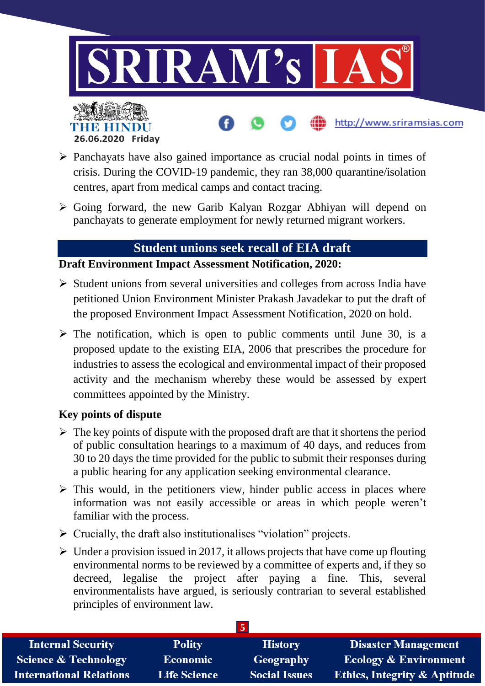

http://www.sriramsias.com



- $\triangleright$  Panchayats have also gained importance as crucial nodal points in times of crisis. During the COVID-19 pandemic, they ran 38,000 quarantine/isolation centres, apart from medical camps and contact tracing.
- $\triangleright$  Going forward, the new Garib Kalyan Rozgar Abhiyan will depend on panchayats to generate employment for newly returned migrant workers.

## **Student unions seek recall of EIA draft**

#### **Draft Environment Impact Assessment Notification, 2020:**

- $\triangleright$  Student unions from several universities and colleges from across India have petitioned Union Environment Minister Prakash Javadekar to put the draft of the proposed Environment Impact Assessment Notification, 2020 on hold.
- $\triangleright$  The notification, which is open to public comments until June 30, is a proposed update to the existing EIA, 2006 that prescribes the procedure for industries to assess the ecological and environmental impact of their proposed activity and the mechanism whereby these would be assessed by expert committees appointed by the Ministry.

### **Key points of dispute**

- $\triangleright$  The key points of dispute with the proposed draft are that it shortens the period of public consultation hearings to a maximum of 40 days, and reduces from 30 to 20 days the time provided for the public to submit their responses during a public hearing for any application seeking environmental clearance.
- $\triangleright$  This would, in the petitioners view, hinder public access in places where information was not easily accessible or areas in which people weren't familiar with the process.
- $\triangleright$  Crucially, the draft also institutionalises "violation" projects.
- $\triangleright$  Under a provision issued in 2017, it allows projects that have come up flouting environmental norms to be reviewed by a committee of experts and, if they so decreed, legalise the project after paying a fine. This, several environmentalists have argued, is seriously contrarian to several established principles of environment law.

| <b>Internal Security</b>        | <b>Polity</b>       | <b>History</b>       | <b>Disaster Management</b>              |
|---------------------------------|---------------------|----------------------|-----------------------------------------|
| <b>Science &amp; Technology</b> | <b>Economic</b>     | Geography            | <b>Ecology &amp; Environment</b>        |
| <b>International Relations</b>  | <b>Life Science</b> | <b>Social Issues</b> | <b>Ethics, Integrity &amp; Aptitude</b> |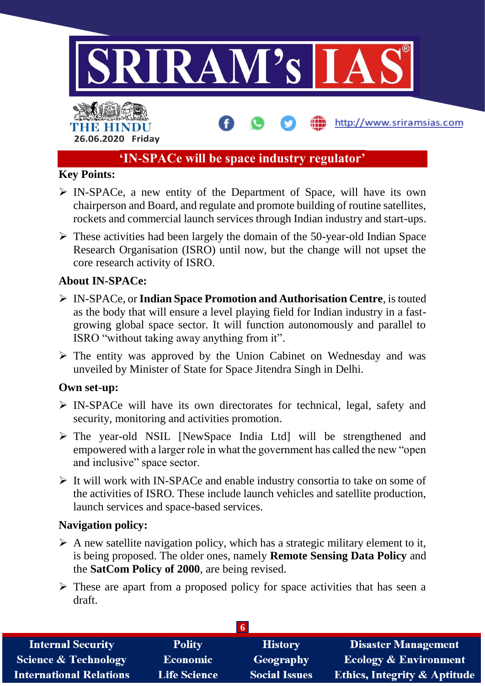

## **'IN-SPACe will be space industry regulator'**

#### **Key Points:**

- $\triangleright$  IN-SPACe, a new entity of the Department of Space, will have its own chairperson and Board, and regulate and promote building of routine satellites, rockets and commercial launch services through Indian industry and start-ups.
- $\triangleright$  These activities had been largely the domain of the 50-year-old Indian Space Research Organisation (ISRO) until now, but the change will not upset the core research activity of ISRO.

#### **About IN-SPACe:**

- IN-SPACe, or **Indian Space Promotion and Authorisation Centre**, is touted as the body that will ensure a level playing field for Indian industry in a fastgrowing global space sector. It will function autonomously and parallel to ISRO "without taking away anything from it".
- $\triangleright$  The entity was approved by the Union Cabinet on Wednesday and was unveiled by Minister of State for Space Jitendra Singh in Delhi.

#### **Own set-up:**

- IN-SPACe will have its own directorates for technical, legal, safety and security, monitoring and activities promotion.
- The year-old NSIL [NewSpace India Ltd] will be strengthened and empowered with a larger role in what the government has called the new "open and inclusive" space sector.
- $\triangleright$  It will work with IN-SPACe and enable industry consortia to take on some of the activities of ISRO. These include launch vehicles and satellite production, launch services and space-based services.

#### **Navigation policy:**

- $\triangleright$  A new satellite navigation policy, which has a strategic military element to it, is being proposed. The older ones, namely **Remote Sensing Data Policy** and the **SatCom Policy of 2000**, are being revised.
- $\triangleright$  These are apart from a proposed policy for space activities that has seen a draft.

| <b>Internal Security</b>        | <b>Polity</b>       | <b>History</b>       | <b>Disaster Management</b>              |  |
|---------------------------------|---------------------|----------------------|-----------------------------------------|--|
| <b>Science &amp; Technology</b> | <b>Economic</b>     | Geography            | <b>Ecology &amp; Environment</b>        |  |
| <b>International Relations</b>  | <b>Life Science</b> | <b>Social Issues</b> | <b>Ethics, Integrity &amp; Aptitude</b> |  |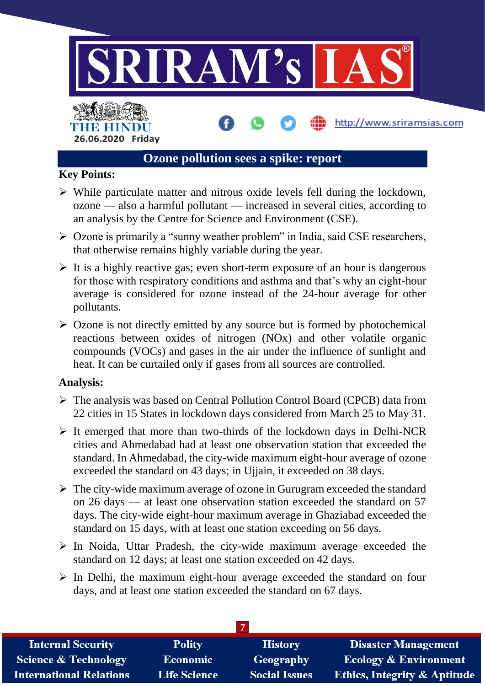

## **Ozone pollution sees a spike: report**

#### **Key Points:**

- $\triangleright$  While particulate matter and nitrous oxide levels fell during the lockdown, ozone — also a harmful pollutant — increased in several cities, according to an analysis by the Centre for Science and Environment (CSE).
- $\triangleright$  Ozone is primarily a "sunny weather problem" in India, said CSE researchers, that otherwise remains highly variable during the year.
- $\triangleright$  It is a highly reactive gas; even short-term exposure of an hour is dangerous for those with respiratory conditions and asthma and that's why an eight-hour average is considered for ozone instead of the 24-hour average for other pollutants.
- $\triangleright$  Ozone is not directly emitted by any source but is formed by photochemical reactions between oxides of nitrogen (NOx) and other volatile organic compounds (VOCs) and gases in the air under the influence of sunlight and heat. It can be curtailed only if gases from all sources are controlled.

#### **Analysis:**

- The analysis was based on Central Pollution Control Board (CPCB) data from 22 cities in 15 States in lockdown days considered from March 25 to May 31.
- $\triangleright$  It emerged that more than two-thirds of the lockdown days in Delhi-NCR cities and Ahmedabad had at least one observation station that exceeded the standard. In Ahmedabad, the city-wide maximum eight-hour average of ozone exceeded the standard on 43 days; in Ujjain, it exceeded on 38 days.
- $\triangleright$  The city-wide maximum average of ozone in Gurugram exceeded the standard on 26 days — at least one observation station exceeded the standard on 57 days. The city-wide eight-hour maximum average in Ghaziabad exceeded the standard on 15 days, with at least one station exceeding on 56 days.
- $\triangleright$  In Noida, Uttar Pradesh, the city-wide maximum average exceeded the standard on 12 days; at least one station exceeded on 42 days.
- $\triangleright$  In Delhi, the maximum eight-hour average exceeded the standard on four days, and at least one station exceeded the standard on 67 days.

| <b>Internal Security</b>        | <b>Polity</b>       | <b>History</b>       | <b>Disaster Management</b>              |
|---------------------------------|---------------------|----------------------|-----------------------------------------|
| <b>Science &amp; Technology</b> | <b>Economic</b>     | Geography            | <b>Ecology &amp; Environment</b>        |
| <b>International Relations</b>  | <b>Life Science</b> | <b>Social Issues</b> | <b>Ethics, Integrity &amp; Aptitude</b> |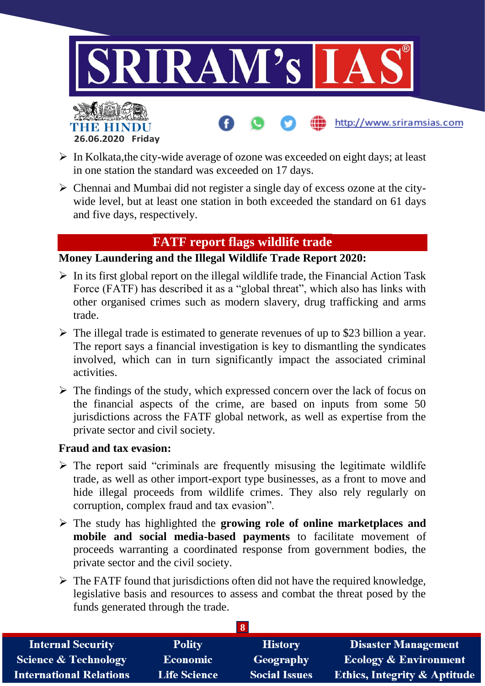

http://www.sriramsias.com



- $\triangleright$  In Kolkata, the city-wide average of ozone was exceeded on eight days; at least in one station the standard was exceeded on 17 days.
- $\triangleright$  Chennai and Mumbai did not register a single day of excess ozone at the citywide level, but at least one station in both exceeded the standard on 61 days and five days, respectively.

## **FATF report flags wildlife trade**

## **Money Laundering and the Illegal Wildlife Trade Report 2020:**

- $\triangleright$  In its first global report on the illegal wildlife trade, the Financial Action Task Force (FATF) has described it as a "global threat", which also has links with other organised crimes such as modern slavery, drug trafficking and arms trade.
- $\triangleright$  The illegal trade is estimated to generate revenues of up to \$23 billion a year. The report says a financial investigation is key to dismantling the syndicates involved, which can in turn significantly impact the associated criminal activities.
- $\triangleright$  The findings of the study, which expressed concern over the lack of focus on the financial aspects of the crime, are based on inputs from some 50 jurisdictions across the FATF global network, as well as expertise from the private sector and civil society.

#### **Fraud and tax evasion:**

- $\triangleright$  The report said "criminals are frequently misusing the legitimate wildlife trade, as well as other import-export type businesses, as a front to move and hide illegal proceeds from wildlife crimes. They also rely regularly on corruption, complex fraud and tax evasion".
- The study has highlighted the **growing role of online marketplaces and mobile and social media-based payments** to facilitate movement of proceeds warranting a coordinated response from government bodies, the private sector and the civil society.
- $\triangleright$  The FATF found that jurisdictions often did not have the required knowledge, legislative basis and resources to assess and combat the threat posed by the funds generated through the trade.

| <b>Internal Security</b>        | <b>Polity</b>       | <b>History</b>       | <b>Disaster Management</b>              |  |
|---------------------------------|---------------------|----------------------|-----------------------------------------|--|
| <b>Science &amp; Technology</b> | <b>Economic</b>     | Geography            | <b>Ecology &amp; Environment</b>        |  |
| <b>International Relations</b>  | <b>Life Science</b> | <b>Social Issues</b> | <b>Ethics, Integrity &amp; Aptitude</b> |  |